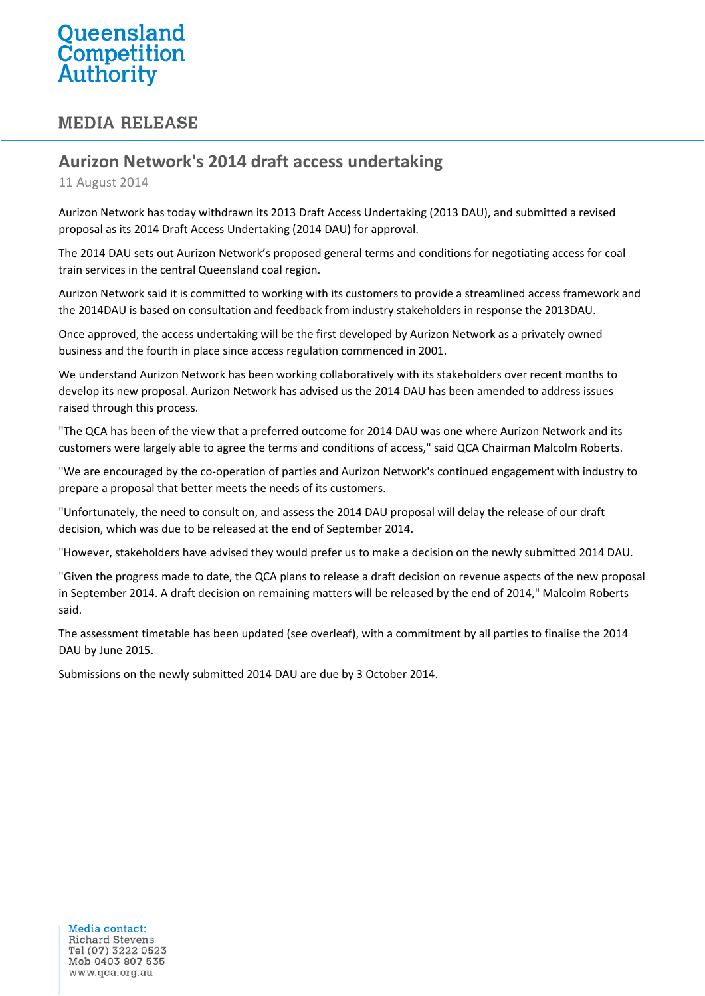## Queensland **Competition**<br>Authority

## **MEDIA RELEASE**

## **Aurizon Network's 2014 draft access undertaking**

11 August 2014

Aurizon Network has today withdrawn its 2013 Draft Access Undertaking (2013 DAU), and submitted a revised proposal as its 2014 Draft Access Undertaking (2014 DAU) for approval.

The 2014 DAU sets out Aurizon Network's proposed general terms and conditions for negotiating access for coal train services in the central Queensland coal region.

Aurizon Network said it is committed to working with its customers to provide a streamlined access framework and the 2014DAU is based on consultation and feedback from industry stakeholders in response the 2013DAU.

Once approved, the access undertaking will be the first developed by Aurizon Network as a privately owned business and the fourth in place since access regulation commenced in 2001.

We understand Aurizon Network has been working collaboratively with its stakeholders over recent months to develop its new proposal. Aurizon Network has advised us the 2014 DAU has been amended to address issues raised through this process.

"The QCA has been of the view that a preferred outcome for 2014 DAU was one where Aurizon Network and its customers were largely able to agree the terms and conditions of access," said QCA Chairman Malcolm Roberts.

"We are encouraged by the co-operation of parties and Aurizon Network's continued engagement with industry to prepare a proposal that better meets the needs of its customers.

"Unfortunately, the need to consult on, and assess the 2014 DAU proposal will delay the release of our draft decision, which was due to be released at the end of September 2014.

"However, stakeholders have advised they would prefer us to make a decision on the newly submitted 2014 DAU.

"Given the progress made to date, the QCA plans to release a draft decision on revenue aspects of the new proposal in September 2014. A draft decision on remaining matters will be released by the end of 2014," Malcolm Roberts said.

The assessment timetable has been updated (see overleaf), with a commitment by all parties to finalise the 2014 DAU by June 2015.

Submissions on the newly submitted 2014 DAU are due by 3 October 2014.